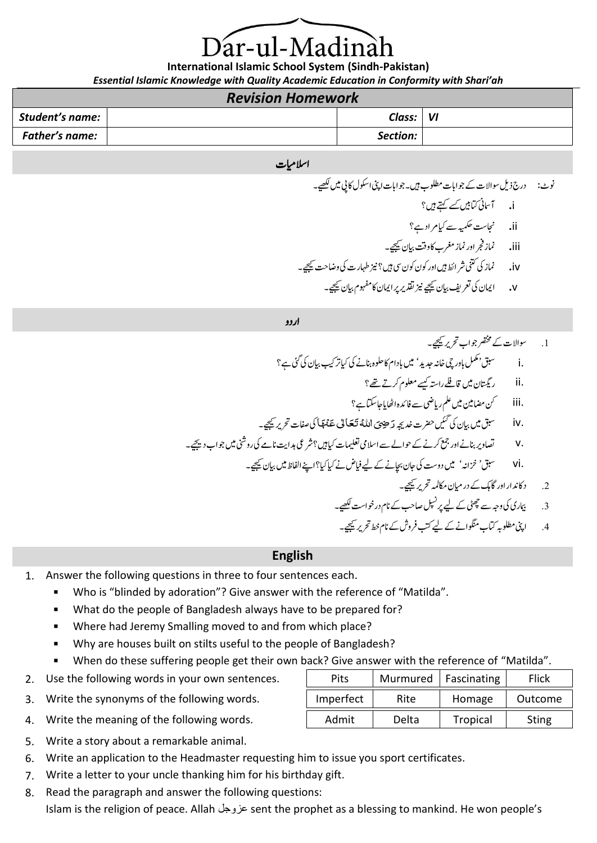# ar-ul-Madina

**International Islamic School System (Sindh-Pakistan)** *Essential Islamic Knowledge with Quality Academic Education in Conformity with Shari'ah*

## *Revision Homework*

| NCVBIOII IIOIIICWOIN |  |          |    |  |
|----------------------|--|----------|----|--|
| Student's name:      |  | Class:   | VI |  |
| Father's name:       |  | Section: |    |  |

#### اسلامیات

ونٹ: درج ذلی وساالت ےک وجاابت ولطمب ںیہ۔وجاابت اینپ اوکسل اکیپ ںیم ےیھکل۔ i**.** آامسین اتکںیب ےسک ےتہک ںیہ؟ ii**.** اجنتس ہیمکح ےس ایک رماد ےہ؟

iii**.** امنز رجف اور امنز رغمب اک وتق ایبن ےیجیک۔

- iv**.** امنز یک ینتک رشاطئ ںیہ اور وکن وکن یس ںیہ؟زین اہطر ت یک واضتح ےیجیک۔
	- v**.** اامین یک رعتفی ایبن ےیجیک زین دقتری رپ اامین اک وہفمم ایبن ےیجیک۔

اردو

.1 وساالت ےک رصتخم وجاب رحتری ےیجیک۔ .i قبس 'لمکم ابوریچ اخہن دجدی ' ںیم ابدام اک ولحہ انبےن یک ایک رتبیک ایبن یک یئگ ےہ؟ .ii راتسگین ںیم اقےلف راہتس ےسیک ولعمم رکےت ےھت؟ .iii نک اضمنیم ںیم ملع راییض ےس افدئہ ااھٹ ای اجاتکس ےہ؟ ْنا هَ ع َ ٰل ی عا َ قبس ںیم ایبن یک ںیئگ رضحت دخہجی َ یِضَ ُهللات َ .iv ر یک افصت رحتری ےیجیک۔ .v اصتوری انبےن اور عمج رکےن ےک وحاےل ےس االسیم امیلعتت ایک ںیہ؟رشیع دہاتی انےم یک روینش ںیم وجاب دےیجی۔ .vi قبس ' زخاہن' ںیم دوتس یک اجن اچبےن ےک ےیلایفض ےن ایک ایک ؟ اےنپ اافلظ ںیم ایبن ےیجیک۔ .2 داکدنار اور اگکہ ےک درایمن اکمہمل رحتری ےیجیک۔

.3 امیبری یک وہج ےس یٹھچ ےک ےیل رپلپسن اصبح ےک انم دروخاتس ےیھکل۔

.4 اینپ ولطمہب اتکب وگنماےن ےک ےیل بتک رفوش ےک انم طخ رحتری ےیجیک۔

#### **English**

- 1. Answer the following questions in three to four sentences each.
	- Who is "blinded by adoration"? Give answer with the reference of "Matilda".
	- What do the people of Bangladesh always have to be prepared for?
	- Where had Jeremy Smalling moved to and from which place?
	- Why are houses built on stilts useful to the people of Bangladesh?
	- When do these suffering people get their own back? Give answer with the reference of "Matilda".
- 2. Use the following words in your own sentences.
- 3. Write the synonyms of the following words.
- 4. Write the meaning of the following words.
- 5. Write a story about a remarkable animal.
- 6. Write an application to the Headmaster requesting him to issue you sport certificates.
- 7. Write a letter to your uncle thanking him for his birthday gift.
- 8. Read the paragraph and answer the following questions:

Islam is the religion of peace. Allah عزوجل sent the prophet as a blessing to mankind. He won people's

| Pits      | Murmured | Fascinating | Flick        |
|-----------|----------|-------------|--------------|
| Imperfect | Rite     | Homage      | Outcome      |
| Admit     | Delta    | Tropical    | <b>Sting</b> |